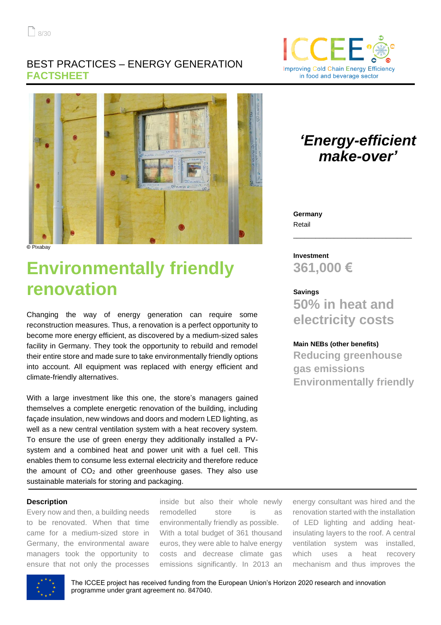### BEST PRACTICES – ENERGY GENERATION **FACTSHEET**





**©** Pixabay

# **Environmentally friendly renovation**

Changing the way of energy generation can require some reconstruction measures. Thus, a renovation is a perfect opportunity to become more energy efficient, as discovered by a medium-sized sales facility in Germany. They took the opportunity to rebuild and remodel their entire store and made sure to take environmentally friendly options into account. All equipment was replaced with energy efficient and climate-friendly alternatives.

With a large investment like this one, the store's managers gained themselves a complete energetic renovation of the building, including façade insulation, new windows and doors and modern LED lighting, as well as a new central ventilation system with a heat recovery system. To ensure the use of green energy they additionally installed a PVsystem and a combined heat and power unit with a fuel cell. This enables them to consume less external electricity and therefore reduce the amount of  $CO<sub>2</sub>$  and other greenhouse gases. They also use sustainable materials for storing and packaging.

#### **Description**

Every now and then, a building needs to be renovated. When that time came for a medium-sized store in Germany, the environmental aware managers took the opportunity to ensure that not only the processes

inside but also their whole newly remodelled store is as environmentally friendly as possible. With a total budget of 361 thousand euros, they were able to halve energy costs and decrease climate gas emissions significantly. In 2013 an

energy consultant was hired and the renovation started with the installation of LED lighting and adding heatinsulating layers to the roof. A central ventilation system was installed, which uses a heat recovery mechanism and thus improves the



The ICCEE project has received funding from the European Union's Horizon 2020 research and innovation programme under grant agreement no. 847040.

## *'Energy-efficient make-over'*

**Germany** Retail

**Investment 361,000 €**

**Savings 50% in heat and electricity costs**

\_\_\_\_\_\_\_\_\_\_\_\_\_\_\_\_\_\_\_\_\_\_\_\_\_\_\_\_\_\_\_\_

#### **Main NEBs (other benefits)**

**Reducing greenhouse gas emissions Environmentally friendly**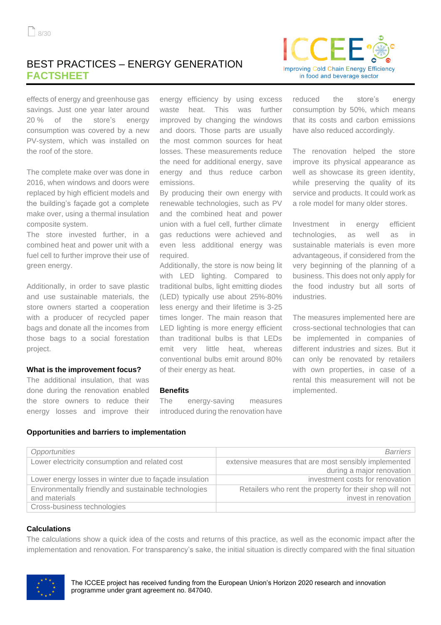## BEST PRACTICES – ENERGY GENERATION **FACTSHEET**



effects of energy and greenhouse gas savings. Just one year later around 20 % of the store's energy consumption was covered by a new PV-system, which was installed on the roof of the store.

The complete make over was done in 2016, when windows and doors were replaced by high efficient models and the building's façade got a complete make over, using a thermal insulation composite system.

The store invested further, in a combined heat and power unit with a fuel cell to further improve their use of green energy.

Additionally, in order to save plastic and use sustainable materials, the store owners started a cooperation with a producer of recycled paper bags and donate all the incomes from those bags to a social forestation project.

#### **What is the improvement focus?**

The additional insulation, that was done during the renovation enabled the store owners to reduce their energy losses and improve their

**Opportunities and barriers to implementation**

energy efficiency by using excess waste heat. This was further improved by changing the windows and doors. Those parts are usually the most common sources for heat losses. These measurements reduce the need for additional energy, save energy and thus reduce carbon emissions.

By producing their own energy with renewable technologies, such as PV and the combined heat and power union with a fuel cell, further climate gas reductions were achieved and even less additional energy was required.

Additionally, the store is now being lit with LED lighting. Compared to traditional bulbs, light emitting diodes (LED) typically use about 25%-80% less energy and their lifetime is 3-25 times longer. The main reason that LED lighting is more energy efficient than traditional bulbs is that LEDs emit very little heat, whereas conventional bulbs emit around 80% of their energy as heat.

#### **Benefits**

The energy-saving measures introduced during the renovation have

reduced the store's energy consumption by 50%, which means that its costs and carbon emissions have also reduced accordingly.

The renovation helped the store improve its physical appearance as well as showcase its green identity, while preserving the quality of its service and products. It could work as a role model for many older stores.

Investment in energy efficient technologies, as well as in sustainable materials is even more advantageous, if considered from the very beginning of the planning of a business. This does not only apply for the food industry but all sorts of industries.

The measures implemented here are cross-sectional technologies that can be implemented in companies of different industries and sizes. But it can only be renovated by retailers with own properties, in case of a rental this measurement will not be implemented.

| Opportunities                                          | <b>Barriers</b>                                         |  |
|--------------------------------------------------------|---------------------------------------------------------|--|
| Lower electricity consumption and related cost         | extensive measures that are most sensibly implemented   |  |
|                                                        | during a major renovation                               |  |
| Lower energy losses in winter due to façade insulation | investment costs for renovation                         |  |
| Environmentally friendly and sustainable technologies  | Retailers who rent the property for their shop will not |  |
| and materials                                          | invest in renovation                                    |  |
| Cross-business technologies                            |                                                         |  |

#### **Calculations**

The calculations show a quick idea of the costs and returns of this practice, as well as the economic impact after the implementation and renovation. For transparency's sake, the initial situation is directly compared with the final situation